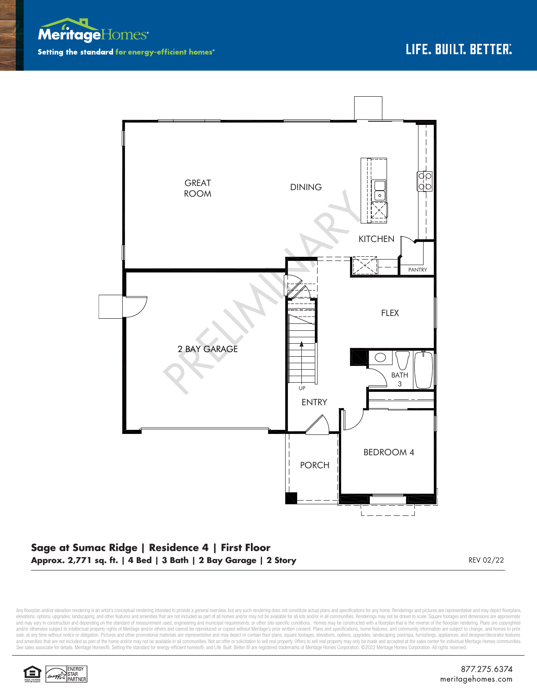



## **Sage at Sumac Ridge | Residence 4 | First Floor Approx. 2,771 sq. ft. | 4 Bed | 3 Bath | 2 Bay Garage | 2 Story** REV 02/22

Any floorplan and/or elevation rendering is an artist's conceptual rendering intended to provide a general overview, but any such rendering does not constitute actual plans and specifications for any home. Renderings and p elevations, options, upgrades, landscaping, and other features and amenities that are not included as part of all homes and/or may not be available for all lots and/or in all communities. Renderings may not be drawn to sca and may vary in construction and depending on the standard of measurement used, engineering and municipal requirements, or other site-specific conditions. Homes may be constructed with a floorplan that is the reverse of th and/or otherwise subject to intellectual property rights of Meritage and/or others and cannot be reproduced or copied without Meritage's prior written consent. Plans and specifications, home features, and community informa sale, at any time without notice or obligation. Pictures and other promotional materials are representative and may depict or contain floor plans, square footages, elevations, options, upgrades, landscaping, pool/spa, furn See sales associate for details. Meritage Homes®, Setting the standard for energy-efficient homes®, and Life. Built. Better. @ are registered trademarks of Meritage Homes Corporation. ©2022 Meritage Homes Corporation. All